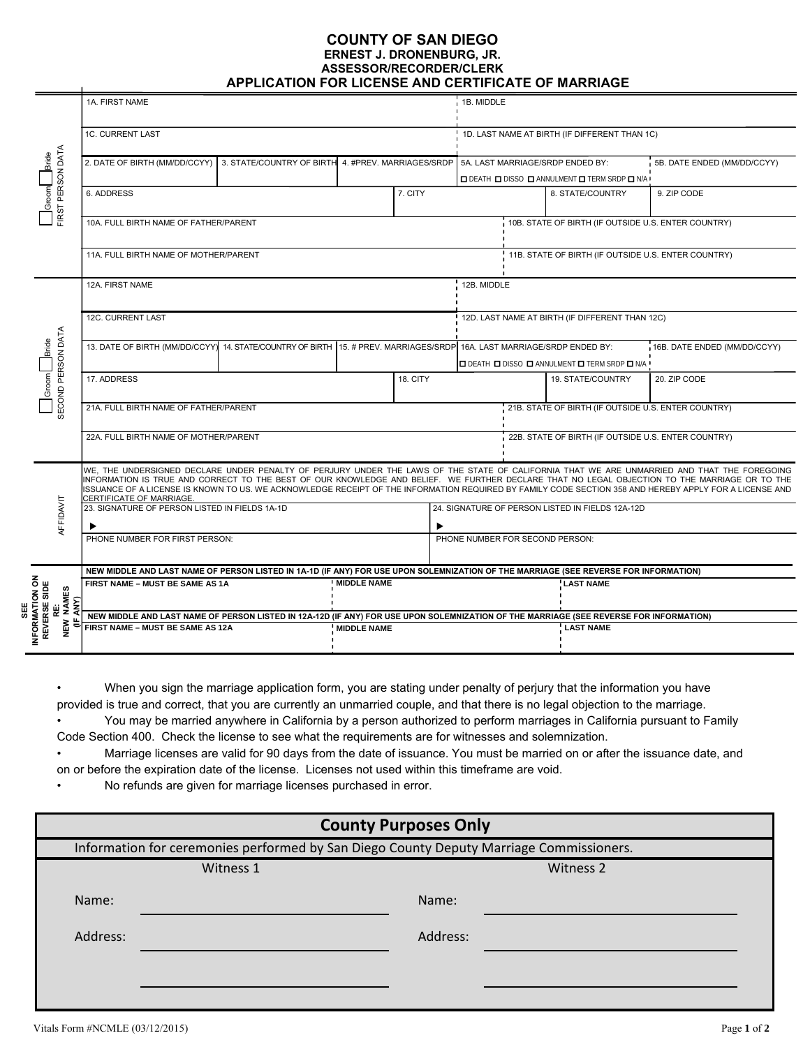#### **COUNTY OF SAN DIEGO ERNEST J. DRONENBURG, JR. ASSESSOR/RECORDER/CLERK APPLICATION FOR LICENSE AND CERTIFICATE OF MARRIAGE**

| FIRST PERSON DATA<br><b>Bride</b><br>$\frac{1}{2}$                           | 1A. FIRST NAME                                                                                                                                                                                                                                                                                                                                                                                                                                                                     |  |                    |                                                                                        | 1B. MIDDLE                                          |                   |                                                      |                             |
|------------------------------------------------------------------------------|------------------------------------------------------------------------------------------------------------------------------------------------------------------------------------------------------------------------------------------------------------------------------------------------------------------------------------------------------------------------------------------------------------------------------------------------------------------------------------|--|--------------------|----------------------------------------------------------------------------------------|-----------------------------------------------------|-------------------|------------------------------------------------------|-----------------------------|
|                                                                              | 1C. CURRENT LAST                                                                                                                                                                                                                                                                                                                                                                                                                                                                   |  |                    |                                                                                        | 1D. LAST NAME AT BIRTH (IF DIFFERENT THAN 1C)       |                   |                                                      |                             |
|                                                                              | 2. DATE OF BIRTH (MM/DD/CCYY)<br>3. STATE/COUNTRY OF BIRTH 4. #PREV. MARRIAGES/SRDP                                                                                                                                                                                                                                                                                                                                                                                                |  |                    |                                                                                        | 5A. LAST MARRIAGE/SRDP ENDED BY:                    |                   | <b>O DEATH O DISSO O ANNULMENT O TERM SRDP O N/A</b> | 5B. DATE ENDED (MM/DD/CCYY) |
|                                                                              | 6. ADDRESS<br>7. CITY                                                                                                                                                                                                                                                                                                                                                                                                                                                              |  |                    |                                                                                        | 9. ZIP CODE<br>8. STATE/COUNTRY                     |                   |                                                      |                             |
|                                                                              | 10A. FULL BIRTH NAME OF FATHER/PARENT                                                                                                                                                                                                                                                                                                                                                                                                                                              |  |                    |                                                                                        | 10B. STATE OF BIRTH (IF OUTSIDE U.S. ENTER COUNTRY) |                   |                                                      |                             |
|                                                                              | 11A. FULL BIRTH NAME OF MOTHER/PARENT                                                                                                                                                                                                                                                                                                                                                                                                                                              |  |                    |                                                                                        | 11B. STATE OF BIRTH (IF OUTSIDE U.S. ENTER COUNTRY) |                   |                                                      |                             |
| SECOND PERSON DATA<br>Bride<br>$\begin{array}{c} \mathsf{Lipom} \end{array}$ | 12A. FIRST NAME                                                                                                                                                                                                                                                                                                                                                                                                                                                                    |  |                    |                                                                                        | 12B. MIDDLE                                         |                   |                                                      |                             |
|                                                                              | 12C. CURRENT LAST                                                                                                                                                                                                                                                                                                                                                                                                                                                                  |  |                    |                                                                                        | 12D. LAST NAME AT BIRTH (IF DIFFERENT THAN 12C)     |                   |                                                      |                             |
|                                                                              | 13. DATE OF BIRTH (MM/DD/CCYY) 14. STATE/COUNTRY OF BIRTH 15. # PREV. MARRIAGES/SRDP 16A. LAST MARRIAGE/SRDP ENDED BY:                                                                                                                                                                                                                                                                                                                                                             |  |                    | 16B. DATE ENDED (MM/DD/CCYY)<br><b>O DEATH O DISSO O ANNULMENT O TERM SRDP O N/A !</b> |                                                     |                   |                                                      |                             |
|                                                                              | 17. ADDRESS                                                                                                                                                                                                                                                                                                                                                                                                                                                                        |  |                    | 18. CITY                                                                               |                                                     | 19. STATE/COUNTRY | 20. ZIP CODE                                         |                             |
|                                                                              | 21A. FULL BIRTH NAME OF FATHER/PARENT                                                                                                                                                                                                                                                                                                                                                                                                                                              |  |                    |                                                                                        | 21B. STATE OF BIRTH (IF OUTSIDE U.S. ENTER COUNTRY) |                   |                                                      |                             |
|                                                                              | 22A. FULL BIRTH NAME OF MOTHER/PARENT                                                                                                                                                                                                                                                                                                                                                                                                                                              |  |                    |                                                                                        | 22B. STATE OF BIRTH (IF OUTSIDE U.S. ENTER COUNTRY) |                   |                                                      |                             |
| AFFIDAVIT                                                                    | WE, THE UNDERSIGNED DECLARE UNDER PENALTY OF PERJURY UNDER THE LAWS OF THE STATE OF CALIFORNIA THAT WE ARE UNMARRIED AND THAT THE FOREGOING<br>INFORMATION IS TRUE AND CORRECT TO THE BEST OF OUR KNOWLEDGE AND BELIEF. WE FURTHER DECLARE THAT NO LEGAL OBJECTION TO THE MARRIAGE OR TO THE<br>ISSUANCE OF A LICENSE IS KNOWN TO US. WE ACKNOWLEDGE RECEIPT OF THE INFORMATION REQUIRED BY FAMILY CODE SECTION 358 AND HEREBY APPLY FOR A LICENSE AND<br>CERTIFICATE OF MARRIAGE. |  |                    |                                                                                        |                                                     |                   |                                                      |                             |
|                                                                              | 23. SIGNATURE OF PERSON LISTED IN FIELDS 1A-1D                                                                                                                                                                                                                                                                                                                                                                                                                                     |  |                    |                                                                                        | 24. SIGNATURE OF PERSON LISTED IN FIELDS 12A-12D    |                   |                                                      |                             |
|                                                                              | ▶<br>PHONE NUMBER FOR FIRST PERSON:                                                                                                                                                                                                                                                                                                                                                                                                                                                |  |                    |                                                                                        | PHONE NUMBER FOR SECOND PERSON:                     |                   |                                                      |                             |
|                                                                              |                                                                                                                                                                                                                                                                                                                                                                                                                                                                                    |  |                    |                                                                                        |                                                     |                   |                                                      |                             |
| INFORMATION ON<br>REVERSE SIDE<br><b>NAMES</b><br>ANY)                       | NEW MIDDLE AND LAST NAME OF PERSON LISTED IN 1A-1D (IF ANY) FOR USE UPON SOLEMNIZATION OF THE MARRIAGE (SEE REVERSE FOR INFORMATION)                                                                                                                                                                                                                                                                                                                                               |  |                    |                                                                                        |                                                     |                   |                                                      |                             |
|                                                                              | <b>MIDDLE NAME</b><br>FIRST NAME - MUST BE SAME AS 1A                                                                                                                                                                                                                                                                                                                                                                                                                              |  |                    |                                                                                        | <b>LAST NAME</b>                                    |                   |                                                      |                             |
|                                                                              | NEW MIDDLE AND LAST NAME OF PERSON LISTED IN 12A-12D (IF ANY) FOR USE UPON SOLEMNIZATION OF THE MARRIAGE (SEE REVERSE FOR INFORMATION)                                                                                                                                                                                                                                                                                                                                             |  |                    |                                                                                        |                                                     |                   |                                                      |                             |
| NEW                                                                          | FIRST NAME - MUST BE SAME AS 12A                                                                                                                                                                                                                                                                                                                                                                                                                                                   |  | <b>MIDDLE NAME</b> |                                                                                        |                                                     | <b>LAST NAME</b>  |                                                      |                             |
|                                                                              |                                                                                                                                                                                                                                                                                                                                                                                                                                                                                    |  |                    |                                                                                        |                                                     |                   |                                                      |                             |

• When you sign the marriage application form, you are stating under penalty of perjury that the information you have provided is true and correct, that you are currently an unmarried couple, and that there is no legal objection to the marriage. • You may be married anywhere in California by a person authorized to perform marriages in California pursuant to Family

Code Section 400. Check the license to see what the requirements are for witnesses and solemnization. • Marriage licenses are valid for 90 days from the date of issuance. You must be married on or after the issuance date, and

on or before the expiration date of the license. Licenses not used within this timeframe are void.

• No refunds are given for marriage licenses purchased in error.

| <b>County Purposes Only</b>                                                             |           |          |           |  |  |  |  |  |  |  |
|-----------------------------------------------------------------------------------------|-----------|----------|-----------|--|--|--|--|--|--|--|
| Information for ceremonies performed by San Diego County Deputy Marriage Commissioners. |           |          |           |  |  |  |  |  |  |  |
|                                                                                         | Witness 1 |          | Witness 2 |  |  |  |  |  |  |  |
| Name:                                                                                   |           | Name:    |           |  |  |  |  |  |  |  |
| Address:                                                                                |           | Address: |           |  |  |  |  |  |  |  |
|                                                                                         |           |          |           |  |  |  |  |  |  |  |
|                                                                                         |           |          |           |  |  |  |  |  |  |  |
|                                                                                         |           |          |           |  |  |  |  |  |  |  |

**SEE**